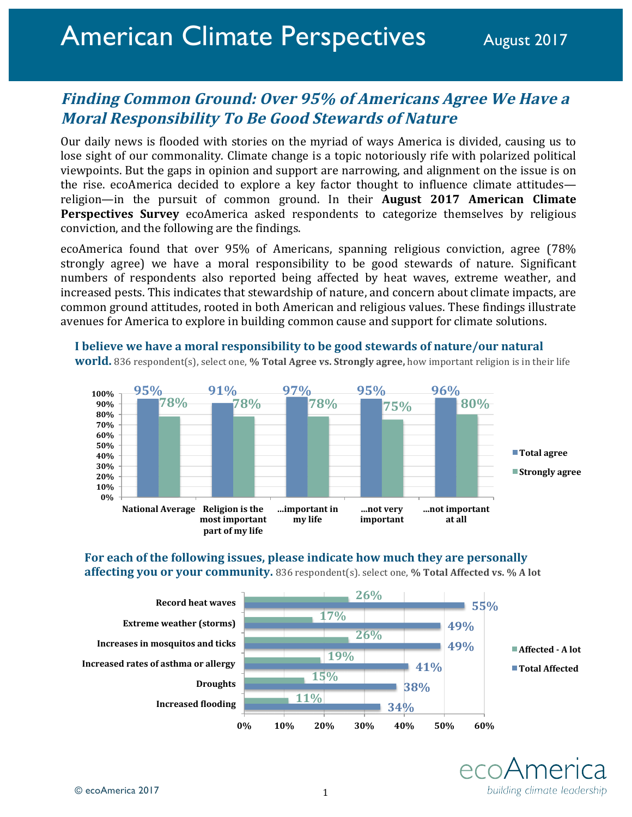# **Finding Common Ground: Over 95% of Americans Agree We Have a Moral Responsibility To Be Good Stewards of Nature**

Our daily news is flooded with stories on the myriad of ways America is divided, causing us to lose sight of our commonality. Climate change is a topic notoriously rife with polarized political viewpoints. But the gaps in opinion and support are narrowing, and alignment on the issue is on the rise. ecoAmerica decided to explore a key factor thought to influence climate attitudes religion—in the pursuit of common ground. In their **August 2017 American Climate Perspectives Survey** ecoAmerica asked respondents to categorize themselves by religious conviction, and the following are the findings.

ecoAmerica found that over 95% of Americans, spanning religious conviction, agree (78% strongly agree) we have a moral responsibility to be good stewards of nature. Significant numbers of respondents also reported being affected by heat waves, extreme weather, and increased pests. This indicates that stewardship of nature, and concern about climate impacts, are common ground attitudes, rooted in both American and religious values. These findings illustrate avenues for America to explore in building common cause and support for climate solutions.



**I** believe we have a moral responsibility to be good stewards of nature/our natural **world.** 836 respondent(s), select one, % Total Agree vs. Strongly agree, how important religion is in their life

## For each of the following issues, please indicate how much they are personally **affecting you or your community.** 836 respondent(s). select one, % Total Affected vs. % A lot



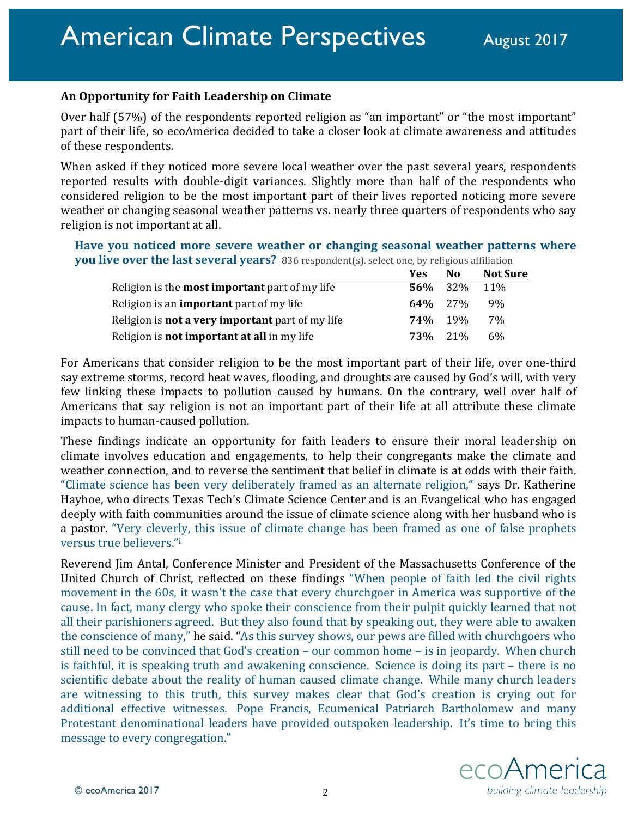## **An Opportunity for Faith Leadership on Climate**

Over half  $(57%)$  of the respondents reported religion as "an important" or "the most important" part of their life, so ecoAmerica decided to take a closer look at climate awareness and attitudes of these respondents.

When asked if they noticed more severe local weather over the past several years, respondents reported results with double-digit variances. Slightly more than half of the respondents who considered religion to be the most important part of their lives reported noticing more severe weather or changing seasonal weather patterns vs. nearly three quarters of respondents who say religion is not important at all.

## Have you noticed more severe weather or changing seasonal weather patterns where **you live over the last several years?** 836 respondent(s). select one, by religious affiliation

|                                                         | Yes            | N <sub>0</sub> | <b>Not Sure</b> |
|---------------------------------------------------------|----------------|----------------|-----------------|
| Religion is the <b>most important</b> part of my life   | 56%            | 32%            | <b>11%</b>      |
| Religion is an <b>important</b> part of my life         | $64\%$ 27%     |                | 9%              |
| Religion is <b>not a very important</b> part of my life | $74\%$ 19%     |                | 7%              |
| Religion is <b>not important at all</b> in my life      | <b>73%</b> 21% |                | 6%              |

For Americans that consider religion to be the most important part of their life, over one-third say extreme storms, record heat waves, flooding, and droughts are caused by God's will, with very few linking these impacts to pollution caused by humans. On the contrary, well over half of Americans that say religion is not an important part of their life at all attribute these climate impacts to human-caused pollution.

These findings indicate an opportunity for faith leaders to ensure their moral leadership on climate involves education and engagements, to help their congregants make the climate and weather connection, and to reverse the sentiment that belief in climate is at odds with their faith. "Climate science has been very deliberately framed as an alternate religion," says Dr. Katherine Hayhoe, who directs Texas Tech's Climate Science Center and is an Evangelical who has engaged deeply with faith communities around the issue of climate science along with her husband who is a pastor. "Very cleverly, this issue of climate change has been framed as one of false prophets versus true believers."<sup>i</sup>

Reverend Jim Antal, Conference Minister and President of the Massachusetts Conference of the United Church of Christ, reflected on these findings "When people of faith led the civil rights movement in the 60s, it wasn't the case that every churchgoer in America was supportive of the cause. In fact, many clergy who spoke their conscience from their pulpit quickly learned that not all their parishioners agreed. But they also found that by speaking out, they were able to awaken the conscience of many," he said. "As this survey shows, our pews are filled with churchgoers who still need to be convinced that God's creation – our common home – is in jeopardy. When church is faithful, it is speaking truth and awakening conscience. Science is doing its part – there is no scientific debate about the reality of human caused climate change. While many church leaders are witnessing to this truth, this survey makes clear that God's creation is crying out for additional effective witnesses. Pope Francis, Ecumenical Patriarch Bartholomew and many Protestant denominational leaders have provided outspoken leadership. It's time to bring this message to every congregation."